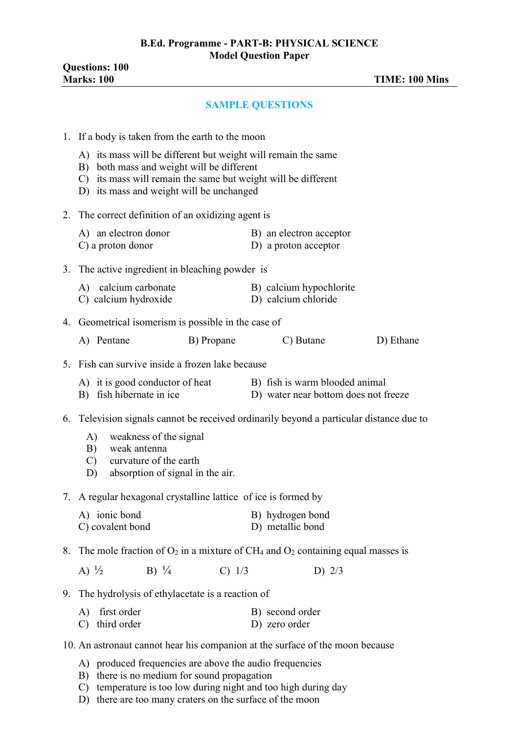## **SAMPLE QUESTIONS**

|    | 1. If a body is taken from the earth to the moon                                                                                                                                                                        |            |                                                                        |                                                 |           |
|----|-------------------------------------------------------------------------------------------------------------------------------------------------------------------------------------------------------------------------|------------|------------------------------------------------------------------------|-------------------------------------------------|-----------|
|    | A) its mass will be different but weight will remain the same<br>B) both mass and weight will be different<br>C) its mass will remain the same but weight will be different<br>D) its mass and weight will be unchanged |            |                                                                        |                                                 |           |
|    | 2. The correct definition of an oxidizing agent is                                                                                                                                                                      |            |                                                                        |                                                 |           |
|    | A) an electron donor<br>C) a proton donor                                                                                                                                                                               |            |                                                                        | B) an electron acceptor<br>D) a proton acceptor |           |
|    | 3. The active ingredient in bleaching powder is                                                                                                                                                                         |            |                                                                        |                                                 |           |
|    | A) calcium carbonate<br>C) calcium hydroxide                                                                                                                                                                            |            | D) calcium chloride                                                    | B) calcium hypochlorite                         |           |
|    | 4. Geometrical isomerism is possible in the case of                                                                                                                                                                     |            |                                                                        |                                                 |           |
|    | A) Pentane                                                                                                                                                                                                              | B) Propane |                                                                        | C) Butane                                       | D) Ethane |
|    | 5. Fish can survive inside a frozen lake because                                                                                                                                                                        |            |                                                                        |                                                 |           |
|    | A) it is good conductor of heat<br>B) fish hibernate in ice                                                                                                                                                             |            | B) fish is warm blooded animal<br>D) water near bottom does not freeze |                                                 |           |
|    | 6. Television signals cannot be received ordinarily beyond a particular distance due to<br>weakness of the signal<br>A)<br>B) weak antenna<br>C) curvature of the earth                                                 |            |                                                                        |                                                 |           |
|    | D) absorption of signal in the air.                                                                                                                                                                                     |            |                                                                        |                                                 |           |
|    | 7. A regular hexagonal crystalline lattice of ice is formed by                                                                                                                                                          |            |                                                                        |                                                 |           |
|    | A) ionic bond<br>C) covalent bond                                                                                                                                                                                       |            | B) hydrogen bond<br>D) metallic bond                                   |                                                 |           |
| 8. | The mole fraction of $O_2$ in a mixture of CH <sub>4</sub> and $O_2$ containing equal masses is                                                                                                                         |            |                                                                        |                                                 |           |
|    | A) $\frac{1}{2}$<br>B) $\frac{1}{4}$                                                                                                                                                                                    | C) 1/3     |                                                                        | D) $2/3$                                        |           |
|    | 9. The hydrolysis of ethylacetate is a reaction of                                                                                                                                                                      |            |                                                                        |                                                 |           |
|    | first order<br>A)<br>third order<br>C)                                                                                                                                                                                  |            | B) second order<br>D) zero order                                       |                                                 |           |
|    | 10. An astronaut cannot hear his companion at the surface of the moon because                                                                                                                                           |            |                                                                        |                                                 |           |
|    |                                                                                                                                                                                                                         |            |                                                                        |                                                 |           |

- A) produced frequencies are above the audio frequencies
- B) there is no medium for sound propagation
- C) temperature is too low during night and too high during day
- D) there are too many craters on the surface of the moon